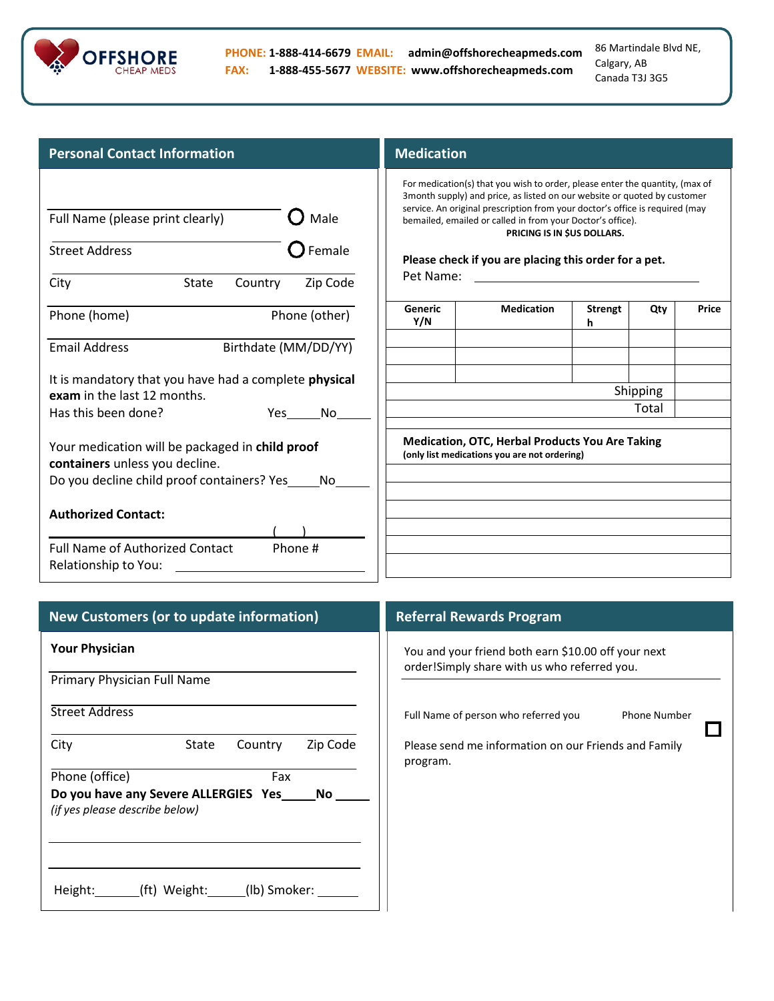

86 Martindale Blvd NE, Calgary, AB Canada T3J 3G5

 $\Box$ 

| <b>Personal Contact Information</b>                                                                                                           | <b>Medication</b> |                                                                                                                                                                                                                                                                                                                                                                                                |                     |                   |              |
|-----------------------------------------------------------------------------------------------------------------------------------------------|-------------------|------------------------------------------------------------------------------------------------------------------------------------------------------------------------------------------------------------------------------------------------------------------------------------------------------------------------------------------------------------------------------------------------|---------------------|-------------------|--------------|
| Male<br>Full Name (please print clearly)<br>Female<br><b>Street Address</b><br>Zip Code<br><b>State</b><br>Country<br>City                    | Pet Name:         | For medication(s) that you wish to order, please enter the quantity, (max of<br>3month supply) and price, as listed on our website or quoted by customer<br>service. An original prescription from your doctor's office is required (may<br>bemailed, emailed or called in from your Doctor's office).<br>PRICING IS IN \$US DOLLARS.<br>Please check if you are placing this order for a pet. |                     |                   |              |
| Phone (other)<br>Phone (home)                                                                                                                 | Generic<br>Y/N    | <b>Medication</b>                                                                                                                                                                                                                                                                                                                                                                              | <b>Strengt</b><br>h | Qty               | <b>Price</b> |
| Birthdate (MM/DD/YY)<br><b>Email Address</b>                                                                                                  |                   |                                                                                                                                                                                                                                                                                                                                                                                                |                     |                   |              |
| It is mandatory that you have had a complete physical<br>exam in the last 12 months.<br>Has this been done?<br>Yes<br>No                      |                   |                                                                                                                                                                                                                                                                                                                                                                                                |                     | Shipping<br>Total |              |
| Your medication will be packaged in <b>child proof</b><br>containers unless you decline.<br>Do you decline child proof containers? Yes<br>No. |                   | <b>Medication, OTC, Herbal Products You Are Taking</b><br>(only list medications you are not ordering)                                                                                                                                                                                                                                                                                         |                     |                   |              |
| <b>Authorized Contact:</b>                                                                                                                    |                   |                                                                                                                                                                                                                                                                                                                                                                                                |                     |                   |              |
| <b>Full Name of Authorized Contact</b><br>Phone #<br>Relationship to You:                                                                     |                   |                                                                                                                                                                                                                                                                                                                                                                                                |                     |                   |              |

| New Customers (or to update information)                                         | <b>Referral Rewards Program</b>                                                                      |  |  |  |
|----------------------------------------------------------------------------------|------------------------------------------------------------------------------------------------------|--|--|--|
| <b>Your Physician</b>                                                            | You and your friend both earn \$10.00 off your next<br>order! Simply share with us who referred you. |  |  |  |
| Primary Physician Full Name                                                      |                                                                                                      |  |  |  |
| <b>Street Address</b>                                                            | Full Name of person who referred you<br><b>Phone Number</b>                                          |  |  |  |
| City<br>Zip Code<br>Country<br>State                                             | Please send me information on our Friends and Family<br>program.                                     |  |  |  |
| Phone (office)<br>Fax                                                            |                                                                                                      |  |  |  |
| Do you have any Severe ALLERGIES Yes ______ No<br>(if yes please describe below) |                                                                                                      |  |  |  |
| (ft) Weight: (Ib) Smoker:<br>Height:                                             |                                                                                                      |  |  |  |